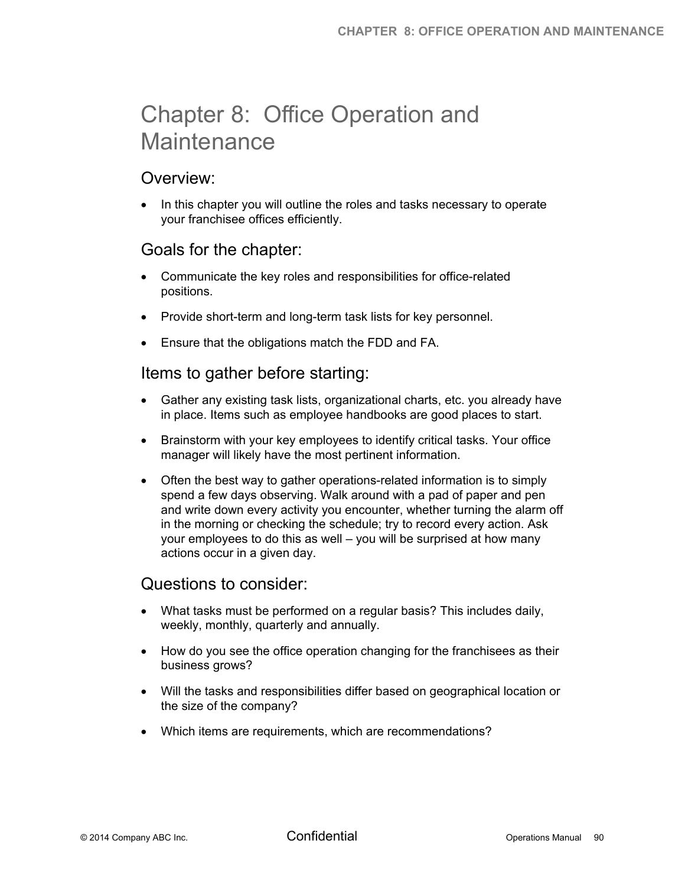# Chapter 8: Office Operation and **Maintenance**

## Overview:

 In this chapter you will outline the roles and tasks necessary to operate your franchisee offices efficiently.

## Goals for the chapter:

- Communicate the key roles and responsibilities for office-related positions.
- Provide short-term and long-term task lists for key personnel.
- Ensure that the obligations match the FDD and FA.

## Items to gather before starting:

- Gather any existing task lists, organizational charts, etc. you already have in place. Items such as employee handbooks are good places to start.
- Brainstorm with your key employees to identify critical tasks. Your office manager will likely have the most pertinent information.
- Often the best way to gather operations-related information is to simply spend a few days observing. Walk around with a pad of paper and pen and write down every activity you encounter, whether turning the alarm off in the morning or checking the schedule; try to record every action. Ask your employees to do this as well – you will be surprised at how many actions occur in a given day.

#### Questions to consider:

- What tasks must be performed on a regular basis? This includes daily, weekly, monthly, quarterly and annually.
- How do you see the office operation changing for the franchisees as their business grows?
- Will the tasks and responsibilities differ based on geographical location or the size of the company?
- Which items are requirements, which are recommendations?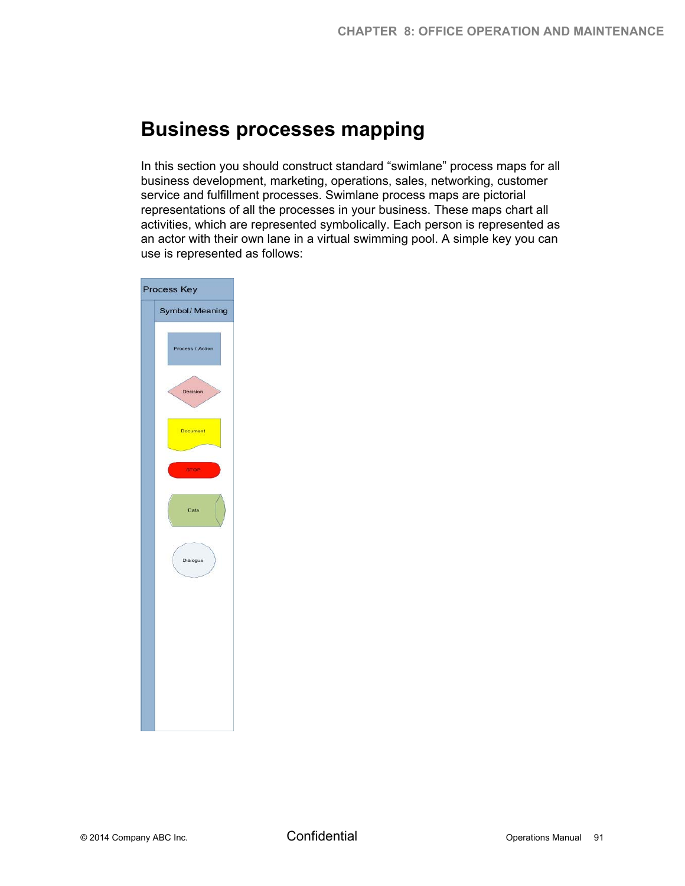# **Business processes mapping**

In this section you should construct standard "swimlane" process maps for all business development, marketing, operations, sales, networking, customer service and fulfillment processes. Swimlane process maps are pictorial representations of all the processes in your business. These maps chart all activities, which are represented symbolically. Each person is represented as an actor with their own lane in a virtual swimming pool. A simple key you can use is represented as follows:

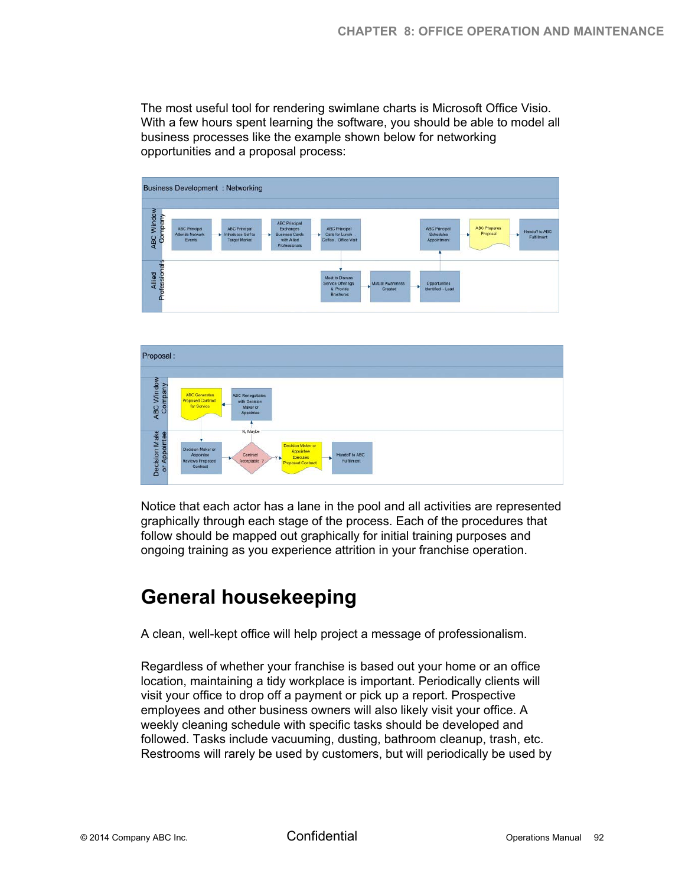The most useful tool for rendering swimlane charts is Microsoft Office Visio. With a few hours spent learning the software, you should be able to model all business processes like the example shown below for networking opportunities and a proposal process:





Notice that each actor has a lane in the pool and all activities are represented graphically through each stage of the process. Each of the procedures that follow should be mapped out graphically for initial training purposes and ongoing training as you experience attrition in your franchise operation.

# **General housekeeping**

A clean, well-kept office will help project a message of professionalism.

Regardless of whether your franchise is based out your home or an office location, maintaining a tidy workplace is important. Periodically clients will visit your office to drop off a payment or pick up a report. Prospective employees and other business owners will also likely visit your office. A weekly cleaning schedule with specific tasks should be developed and followed. Tasks include vacuuming, dusting, bathroom cleanup, trash, etc. Restrooms will rarely be used by customers, but will periodically be used by